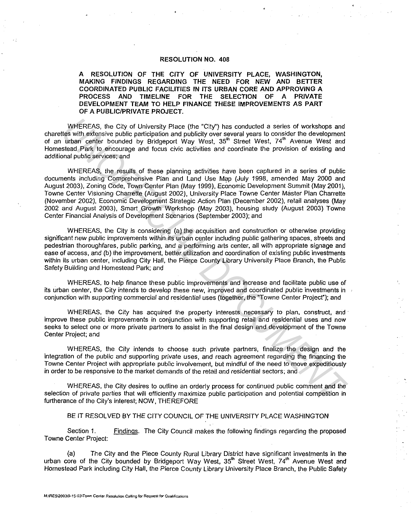## RESOLUTION NO. 408

A RESOLUTION OF THE CITY OF UNIVERSITY PLACE, WASHINGTON, MAKING FINDINGS REGARDING THE NEED FOR NEW AND BETTER COORDINATED PUBLIC FACILITIES IN ITS URBAN CORE AND APPROVING A PROCESS AND TIMELINE FOR THE SELECTION OF A PRIVATE DEVELOPMENT TEAM TO HELP FINANCE THESE IMPROVEMENTS AS PART OF A PUBLIC/PRIVATE PROJECT.

WHEREAS, the City of University Place (the "City") has conducted a series of workshops and charettes with extensive public participation and publicity over several years to consider the development of an urban center bounded by Bridgeport Way West, 35<sup>th</sup> Street West, 74<sup>th</sup> Avenue West and Homestead Park to encourage and focus civic activities and coordinate the provision of existing and additional public services; and

WHEREAS, the results of these planning activities have been captured in a series of public documents including Comprehensive Plan and Land Use Map (July 1998, amended May 2000 and August 2003), Zoning Code, Town Center Plan (May 1999), Economic Development Summit (May 2001), Towne Center Visioning Charrette (August 2002), University Place Towne Center Master Plan Charrette (November 2002), Economic Development Strategic Action Plan (December 2002), retail analyses (May 2002 and August 2003), Smart Growth Workshop (May 2003), housing study (August 2003) Towne Center Financial Analysis of Development Scenarios (September 2003); and WHEREAS, the City of University Piace (the "City") has conducted a series of workshops and<br>tight professive public particle pairing the publicity over several years to consider the development<br>tis with notes when the devel

WHEREAS, the City is considering (a) the acquisition and construction or otherwise providing significant new public improvements within its urban center including public gathering spaces, streets and pedestrian thoroughfares, public parking, and a performing arts center, all with appropriate signage and ease of access, and (b) the improvement, better utilization and coordination of existing public investments within its urban center, including City Hall, the Pierce County Library University Place Branch, the Public Safety Building and Homestead Park; and

WHEREAS, to help finance these public improvements and increase and facilitate public use of its urban center, the City intends to develop these new, improved and coordinated public investments in conjunction with supporting commercial and residential uses (together, the ''Towne Center Project'}; and

WHEREAS, the City has acquired the property interests necessary to plan, construct, and · improve these public improvements in conjunction with supporting retail and residential uses and now seeks to select one or more private partners to assist in the final design and development of the Towne Center Project; and

WHEREAS, the City intends to choose such private partners, finalize the design and the integration of the public and supporting private uses, and reach agreement regarding the financing the Towne Center Project with appropriate public involvement, but mindful of the need to move expeditiously in order to be responsive to the market demands of the retail and residential sectors; and

WHEREAS, the City desires to outline an orderly process for continued public comment and the selection of private parties that will efficiently maximize public participation and potential competition in furtherance of the City's interest; NOW, THEREFORE

## BE IT RESOLVED BY THE CITY COUNCIL OF THE UNIVERSITY PLACE WASHINGTON

Section 1. Findings. The City Council makes the following findings regarding the proposed Towne Center Project:

(a} The City and the Piece County Rural Library District have significant investments in the urban core of the City bounded by Bridgeport Way West, 35<sup>th</sup> Street West, 74<sup>th</sup> Avenue West and Homestead Park including City Hall, the Pierce County Library University Place Branch, the Public Safety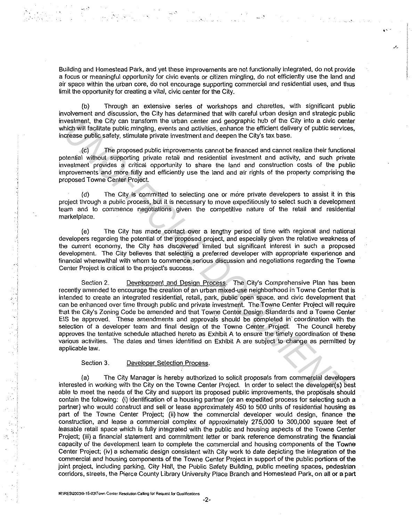Building and Homestead Park, and yet these improvements are not functionally integrated, do not provide a focus or meaningful opportunity for civic events or citizen mingling, do not efficiently use the land and air space within the urban core, do not encourage supporting commercial and residential uses, and thus limit the opportunity for creating a vital, civic center for the City.

(b) Through an extensive series of workshops and charettes, with significant public involvement and discussion, the City has determined that with careful urban design and strategic public investment, the City can transform the urban center and geographic hub of the City into a civic center which will facilitate public mingling, events and activities, enhance the efficient delivery of public services, increase public safety, stimulate private investment and deepen the City's tax base.

(c) The proposed public improvements cannot be financed and cannot realize their functional potential without supporting private retail and residential investment and activity, and such private investment provides a critical opportunity to share the land and construction costs of the public improvements and more fully and efficiently use the land and air rights of the property comprising the proposed Towne Center Project.

( d) The City is committed to selecting one or more private developers to assist it in this project through a public process, but it is necessary to move expeditiously to select such a development team and to commence negotiations given the competitive nature of the retail and residential marketplace.

(e) The City has made contact over a lengthy period of time with regional and national developers regarding the potential of the proposed project, and especially given the relative weakness of the current economy, the City has discovered limited but significant interest in such a proposed development. The City believes that selecting a preferred developer with appropriate experience and financial wherewithal with whom to commence serious discussion and negotiations regarding the Towne Center Project is critical to the project's success.

Section 2. Development and Design Process. The City's Comprehensive Plan has been recently amended to encourage the creation of an urban mixed-use neighborhood in Towne Center that is intended to create an integrated residential, retail, park, public open space. and civic development that can be enhanced over time through public and private investment. The Towne Center Project will require that the City's Zoning Code be amended and that Towne Center Design Standards and a Towne Center EIS be approved. These amendments and approvals should be completed in' coordination with the selection of a developer team and final design of the Towne Center Project. The Council hereby approves the tentative schedule attached hereto as Exhibit A to ensure the timely coordination of these various activities. The dates and times identified on Exhibit A are subject to change as permitted by applicable law. vestment, the City can terms for the ution center and geographic hub of the City into a civilizeration the unit<br>place with the City into a civilizer section of the City into a civilizer section of the City into a civilizer

## Section 3. Developer Selection Process.

(a) The City Manager is hereby authorized to solicit proposals from commercial developers interested in working with the City on the Towne Center Project. In order to select the developer(s) best able to meet the needs of the City and support its proposed public improvements, the proposals should contain the following: (i) identification of a housing partner (or an expedited process for selecting such a partner) who would construct and sell or lease approximately 450 to 500 units of residential housing as part of the Towne Center Project; (ii) how the commercial developer would design, finance the construction, and lease a commercial complex of approximately 275,000 to 300,000 square feet of leasable retail space which is fully integrated with the public and housing aspects of the Towne Center Project; (iii) a financial statement and commitment letter or bank reference demonstrating the financial capacity of the development team to complete the commercial and housing components of the Towne Center Project; (iv) a schematic design consistent with City work to date depicting the integration of the commercial and housing components of the Towne Center Project in support of the public portions of the joint project, including parking, City Hall, the Public Safety Building, public meeting spaces, pedestrian corridors, streets, the Pierce County Library University Place Branch and Homestead Park, on all or a part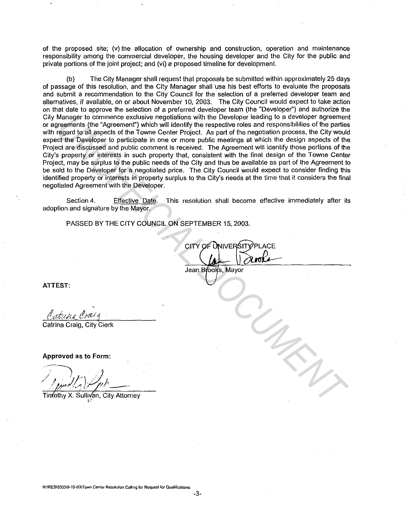of the proposed site; (v) the allocation of ownership and construction, operation and maintenance responsibility among the commercial developer, the housing developer and the City for the public and private portions of the joint project; and (vi) a proposed timeline for development.

(b) The City Manager shall request that proposals be submitted within approximately 25 days of passage of this resolution, and the City Manager shall ·use his best efforts to evaluate the proposals and submit a recommendation to the City Council for the selection of a preferred developer team and alternatives, if available, on or about November 10, 2003. The City Council would expect to take action on that date to approve the selection of a preferred developer team (the "Developer") and authorize the City Manager to commence exclusive negotiations with the Developer leading to a developer agreement or agreements (the "Agreement") which will identify the respective roles and responsibilities of the parties with regard to all aspects of the Towne Center Project. As part of the negotiation process, the City would expect the Developer to participate in one or more public meetings at which the design aspects of the Project are discussed and public comment is received. The Agreement will identify those portions of the City's property or interests in such property that, consistent with the final design of the Towne Center Project, may be surplus to the public needs of the City and thus be available as part of the Agreement to be sold to the Developer for a negotiated price. The City Council would expect to consider finding this identified property or interests in property surplus to the City's rieeds at the time that it considers the final negotiated Agreement with the Developer. Manager to commence exclusive negotiations with the Developer leading to a developer agreements (the Agreement) which will lidentify the respective roles and responsibilities of the participate of the Towne Center Project.

Section 4. Effective Date. This resolution shall become effective immediately after its adoption and signature by the Mayor.

PASSED BY THE CITY COUNCIL ON SEPTEMBER 15, 2003.

**ATTEST:** 

Catrina Craig, City Clerk

**Approved as to Form:** 

Timothy X. Sullivan, City Attorney <sup>~</sup>*,!*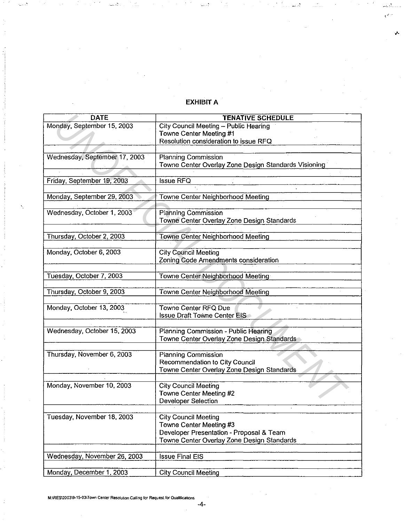## **EXHIBIT A**

لأستقد

ر ان که نم

 $\sim$ 

;.

| <b>DATE</b>                   | <b>TENATIVE SCHEDULE</b>                                                                                                                         |
|-------------------------------|--------------------------------------------------------------------------------------------------------------------------------------------------|
| Monday, September 15, 2003    | City Council Meeting - Public Hearing<br>Towne Center Meeting #1<br>Resolution consideration to issue RFQ                                        |
|                               |                                                                                                                                                  |
| Wednesday, September 17, 2003 | <b>Planning Commission</b><br>Towne Center Overlay Zone Design Standards Visioning                                                               |
| Friday, September 19, 2003    | <b>Issue RFQ</b>                                                                                                                                 |
| Monday, September 29, 2003    | Towne Center Neighborhood Meeting                                                                                                                |
| Wednesday, October 1, 2003    | Planning Commission<br>Towne Center Overlay Zone Design Standards                                                                                |
| Thursday, October 2, 2003     | Towne Center Neighborhood Meeting                                                                                                                |
| Monday, October 6, 2003       | <b>City Council Meeting</b><br>Zoning Code Amendments consideration                                                                              |
| Tuesday, October 7, 2003      | Towne Center Neighborhood Meeting                                                                                                                |
| Thursday, October 9, 2003     | Towne Center Neighborhood Meeting                                                                                                                |
| Monday, October 13, 2003      | <b>Towne Center RFQ Due</b><br><b>Issue Draft Towne Center EIS</b>                                                                               |
| Wednesday, October 15, 2003   | Planning Commission - Public Hearing<br>Towne Center Overlay Zone Design Standards                                                               |
| Thursday, November 6, 2003    | <b>Planning Commission</b><br>Recommendation to City Council<br>Towne Center Overlay Zone Design Standards                                       |
| Monday, November 10, 2003     | <b>City Council Meeting</b><br>Towne Center Meeting #2<br><b>Developer Selection</b>                                                             |
| Tuesday, November 18, 2003    | <b>City Council Meeting</b><br>Towne Center Meeting #3<br>Developer Presentation - Proposal & Team<br>Towne Center Overlay Zone Design Standards |
| Wednesday, November 26, 2003  | <b>Issue Final EIS</b>                                                                                                                           |
| Monday, December 1, 2003      | <b>City Council Meeting</b>                                                                                                                      |

**M:\RES\200319· 15-03\Town Center Resolulion Calling for Request for Oualilicahons** 

.. •

-4-

 $\mathcal{L}$